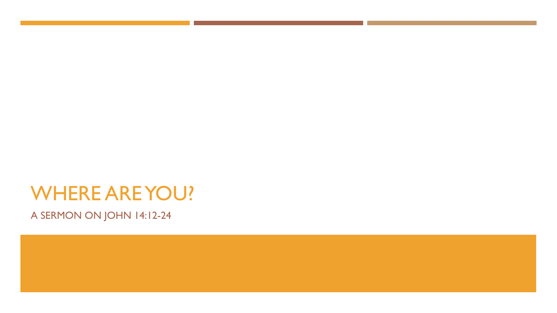# WHERE ARE YOU?

A SERMON ON JOHN 14:12-24

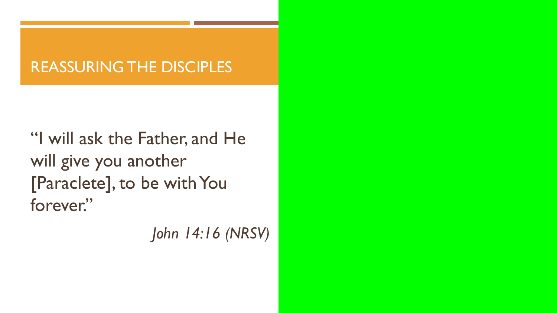# REASSURING THE DISCIPLES

"I will ask the Father, and He will give you another [Paraclete], to be with You forever."

*John 14:16 (NRSV)*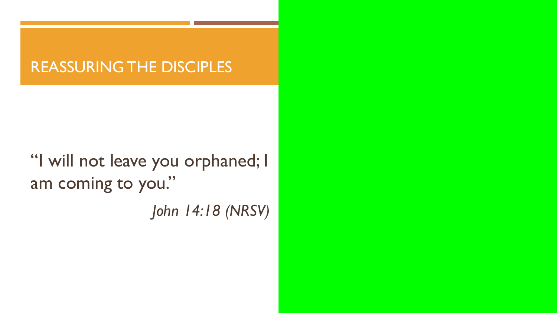#### REASSURING THE DISCIPLES

"I will not leave you orphaned; I am coming to you."

*John 14:18 (NRSV)*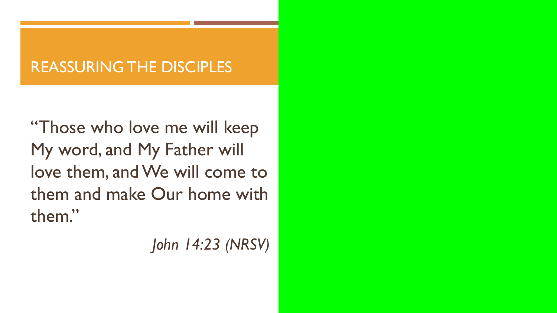# REASSURING THE DISCIPLES

"Those who love me will keep My word, and My Father will love them, and We will come to them and make Our home with them."

*John 14:23 (NRSV)*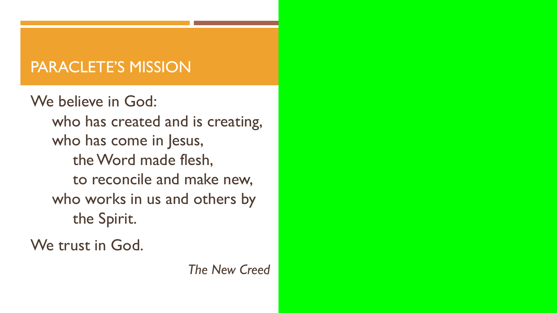# PARACLETE'S MISSION

We believe in God: who has created and is creating, who has come in Jesus, the Word made flesh, to reconcile and make new, who works in us and others by the Spirit.

We trust in God.

*The New Creed*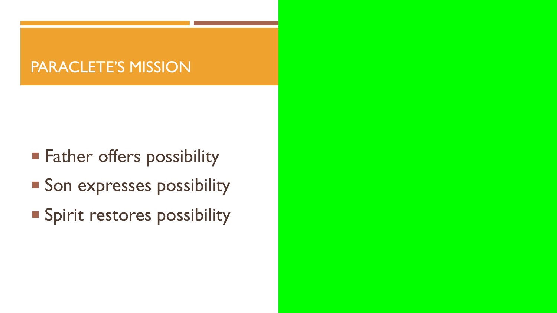### PARACLETE'S MISSION

- **Father offers possibility**
- **Son expresses possibility**
- **Spirit restores possibility**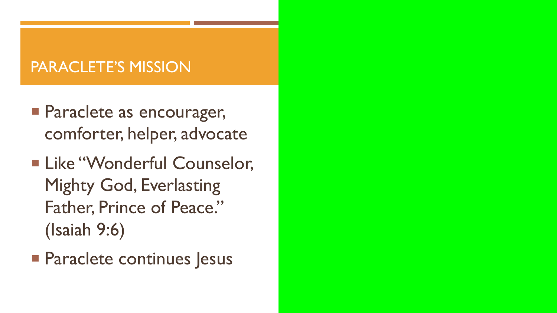# PARACLETE'S MISSION

- **Paraclete as encourager,** comforter, helper, advocate
- **Example 12 Like "Wonderful Counselor,** Mighty God, Everlasting Father, Prince of Peace." (Isaiah 9:6)
- **Paraclete continues Jesus**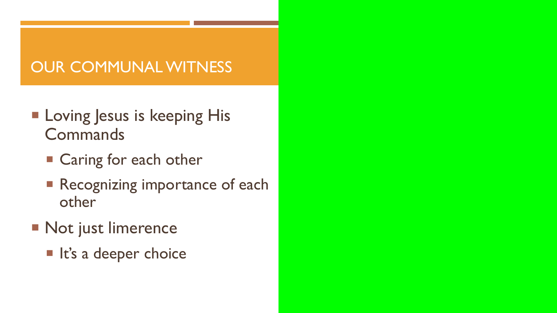- **E** Loving Jesus is keeping His **Commands** 
	- Caring for each other
	- **Recognizing importance of each** other
- **Not just limerence** 
	- **In It's a deeper choice**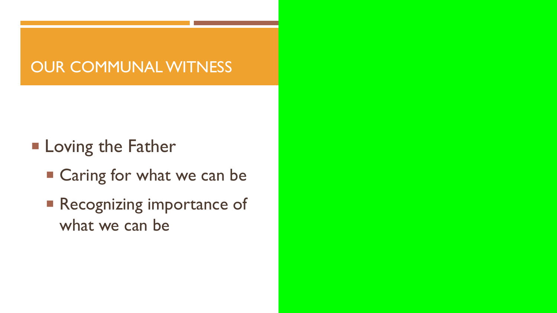- **Example 1** Loving the Father
	- Caring for what we can be
	- **Recognizing importance of** what we can be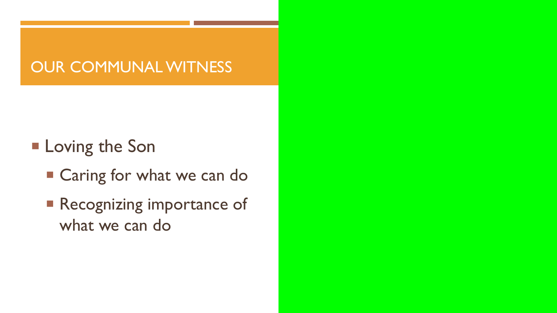- **E** Loving the Son
	- Caring for what we can do
	- **Recognizing importance of** what we can do